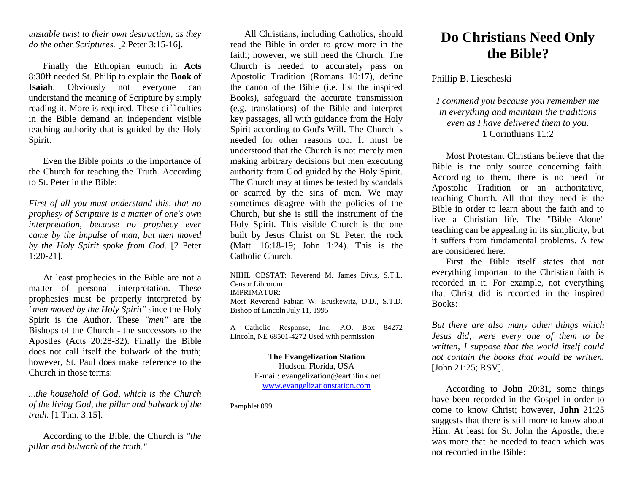*unstable twist to their own destruction, as they do the other Scriptures.* [2 Peter 3:15-16].

Finally the Ethiopian eunuch in **Acts** 8:30ff needed St. Philip to explain the **Book of Isaiah**. Obviously not everyone can understand the meaning of Scripture by simply reading it. More is required. These difficulties in the Bible demand an independent visible teaching authority that is guided by the Holy Spirit.

Even the Bible points to the importance of the Church for teaching the Truth. According to St. Peter in the Bible:

*First of all you must understand this, that no prophesy of Scripture is a matter of one's own interpretation, because no prophecy ever came by the impulse of man, but men moved by the Holy Spirit spoke from God.* [2 Peter 1:20-21].

At least prophecies in the Bible are not a matter of personal interpretation. These prophesies must be properly interpreted by *"men moved by the Holy Spirit"* since the Holy Spirit is the Author. These *"men"* are the Bishops of the Church - the successors to the Apostles (Acts 20:28-32). Finally the Bible does not call itself the bulwark of the truth; however, St. Paul does make reference to the Church in those terms:

*...the household of God, which is the Church of the living God, the pillar and bulwark of the truth.* [1 Tim. 3:15].

According to the Bible, the Church is *"the pillar and bulwark of the truth."*

All Christians, including Catholics, should read the Bible in order to grow more in the faith; however, we still need the Church. The Church is needed to accurately pass on Apostolic Tradition (Romans 10:17), define the canon of the Bible (i.e. list the inspired Books), safeguard the accurate transmission (e.g. translations) of the Bible and interpret key passages, all with guidance from the Holy Spirit according to God's Will. The Church is needed for other reasons too. It must be understood that the Church is not merely men making arbitrary decisions but men executing authority from God guided by the Holy Spirit. The Church may at times be tested by scandals or scarred by the sins of men. We may sometimes disagree with the policies of the Church, but she is still the instrument of the Holy Spirit. This visible Church is the one built by Jesus Christ on St. Peter, the rock (Matt. 16:18-19; John 1:24). This is the Catholic Church.

NIHIL OBSTAT: Reverend M. James Divis, S.T.L. Censor Librorum IMPRIMATUR: Most Reverend Fabian W. Bruskewitz, D.D., S.T.D. Bishop of Lincoln July 11, 1995

A Catholic Response, Inc. P.O. Box 84272 Lincoln, NE 68501-4272 Used with permission

> **The Evangelization Station** Hudson, Florida, USA E-mail: evangelization@earthlink.net [www.evangelizationstation.com](http://www.pjpiisoe.org/)

Pamphlet 099

## **Do Christians Need Only the Bible?**

Phillip B. Liescheski

*I commend you because you remember me in everything and maintain the traditions even as I have delivered them to you.* 1 Corinthians 11:2

Most Protestant Christians believe that the Bible is the only source concerning faith. According to them, there is no need for Apostolic Tradition or an authoritative, teaching Church. All that they need is the Bible in order to learn about the faith and to live a Christian life. The "Bible Alone" teaching can be appealing in its simplicity, but it suffers from fundamental problems. A few are considered here.

First the Bible itself states that not everything important to the Christian faith is recorded in it. For example, not everything that Christ did is recorded in the inspired Books:

*But there are also many other things which Jesus did; were every one of them to be written, I suppose that the world itself could not contain the books that would be written.* [John 21:25; RSV].

According to **John** 20:31, some things have been recorded in the Gospel in order to come to know Christ; however, **John** 21:25 suggests that there is still more to know about Him. At least for St. John the Apostle, there was more that he needed to teach which was not recorded in the Bible: